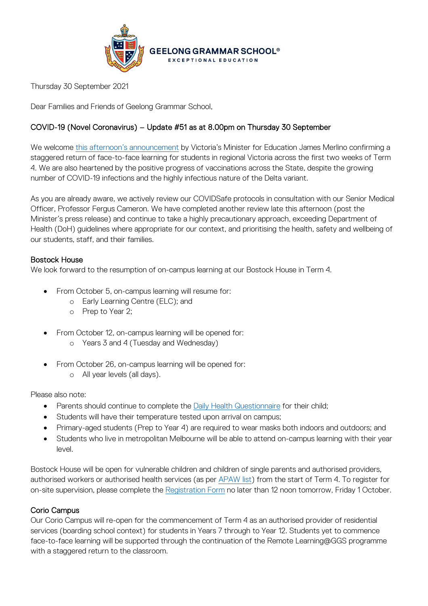

Thursday 30 September 2021

Dear Families and Friends of Geelong Grammar School,

### COVID-19 (Novel Coronavirus) – Update #51 as at 8.00pm on Thursday 30 September

We welcome [this afternoon's announcement](https://www.premier.vic.gov.au/getting-regional-students-safely-back-classroom) by Victoria's Minister for Education James Merlino confirming a staggered return of face-to-face learning for students in regional Victoria across the first two weeks of Term 4. We are also heartened by the positive progress of vaccinations across the State, despite the growing number of COVID-19 infections and the highly infectious nature of the Delta variant.

As you are already aware, we actively review our COVIDSafe protocols in consultation with our Senior Medical Officer, Professor Fergus Cameron. We have completed another review late this afternoon (post the Minister's press release) and continue to take a highly precautionary approach, exceeding Department of Health (DoH) guidelines where appropriate for our context, and prioritising the health, safety and wellbeing of our students, staff, and their families.

#### Bostock House

We look forward to the resumption of on-campus learning at our Bostock House in Term 4.

- From October 5, on-campus learning will resume for:
	- o Early Learning Centre (ELC); and
	- o Prep to Year 2;
- From October 12, on-campus learning will be opened for:
	- o Years 3 and 4 (Tuesday and Wednesday)
- From October 26, on-campus learning will be opened for: o All year levels (all days).

Please also note:

- Parents should continue to complete th[e Daily Health Questionnaire](https://forms.office.com/Pages/ResponsePage.aspx?id=ELu_KfmYBkWxD1P2rSx8Ev-kTHtY0BRDgodmf5vZO-ZUMlA3SjBJOTlGTENIQk5aVjlRMFdIMTZCQS4u&wdLOR=c6ADEBC50-953A-40B2-8789-919A85C6009F) for their child;
- Students will have their temperature tested upon arrival on campus;
- Primary-aged students (Prep to Year 4) are required to wear masks both indoors and outdoors; and
- Students who live in metropolitan Melbourne will be able to attend on-campus learning with their year level.

Bostock House will be open for vulnerable children and children of single parents and authorised providers, authorised workers or authorised health services (as per [APAW list\)](https://www.coronavirus.vic.gov.au/authorised-provider-and-authorised-worker-list) from the start of Term 4. To register for on-site supervision, please complete the [Registration Form](https://www.ggs.vic.edu.au/school/our-school/leadership-and-governance/recent-statements/covid-19/supervision-of-remote-learning-ggs) no later than 12 noon tomorrow, Friday 1 October.

### Corio Campus

Our Corio Campus will re-open for the commencement of Term 4 as an authorised provider of residential services (boarding school context) for students in Years 7 through to Year 12. Students yet to commence face-to-face learning will be supported through the continuation of the Remote Learning@GGS programme with a staggered return to the classroom.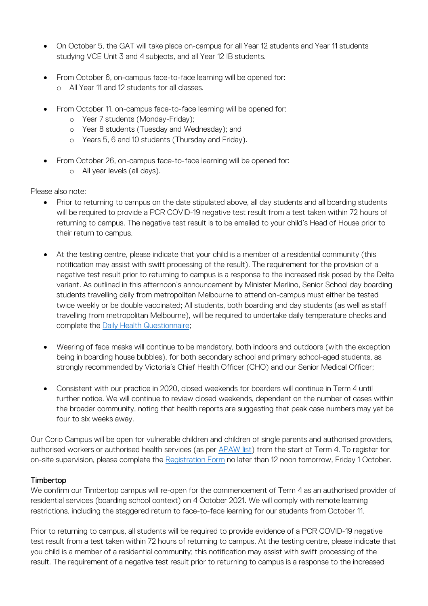- On October 5, the GAT will take place on-campus for all Year 12 students and Year 11 students studying VCE Unit 3 and 4 subjects, and all Year 12 IB students.
- From October 6, on-campus face-to-face learning will be opened for:
	- o All Year 11 and 12 students for all classes.
- From October 11, on-campus face-to-face learning will be opened for:
	- o Year 7 students (Monday-Friday);
	- o Year 8 students (Tuesday and Wednesday); and
	- o Years 5, 6 and 10 students (Thursday and Friday).
- From October 26, on-campus face-to-face learning will be opened for:
	- o All year levels (all days).

Please also note:

- Prior to returning to campus on the date stipulated above, all day students and all boarding students will be required to provide a PCR COVID-19 negative test result from a test taken within 72 hours of returning to campus. The negative test result is to be emailed to your child's Head of House prior to their return to campus.
- At the testing centre, please indicate that your child is a member of a residential community (this notification may assist with swift processing of the result). The requirement for the provision of a negative test result prior to returning to campus is a response to the increased risk posed by the Delta variant. As outlined in this afternoon's announcement by Minister Merlino, Senior School day boarding students travelling daily from metropolitan Melbourne to attend on-campus must either be tested twice weekly or be double vaccinated; All students, both boarding and day students (as well as staff travelling from metropolitan Melbourne), will be required to undertake daily temperature checks and complete the [Daily Health Questionnaire;](https://forms.office.com/Pages/ResponsePage.aspx?id=ELu_KfmYBkWxD1P2rSx8Ev-kTHtY0BRDgodmf5vZO-ZUMlA3SjBJOTlGTENIQk5aVjlRMFdIMTZCQS4u&wdLOR=c6ADEBC50-953A-40B2-8789-919A85C6009F)
- Wearing of face masks will continue to be mandatory, both indoors and outdoors (with the exception being in boarding house bubbles), for both secondary school and primary school-aged students, as strongly recommended by Victoria's Chief Health Officer (CHO) and our Senior Medical Officer;
- Consistent with our practice in 2020, closed weekends for boarders will continue in Term 4 until further notice. We will continue to review closed weekends, dependent on the number of cases within the broader community, noting that health reports are suggesting that peak case numbers may yet be four to six weeks away.

Our Corio Campus will be open for vulnerable children and children of single parents and authorised providers, authorised workers or authorised health services (as per [APAW list\)](https://www.coronavirus.vic.gov.au/authorised-provider-and-authorised-worker-list) from the start of Term 4. To register for on-site supervision, please complete the [Registration Form](https://www.ggs.vic.edu.au/school/our-school/leadership-and-governance/recent-statements/covid-19/supervision-of-remote-learning-ggs) no later than 12 noon tomorrow, Friday 1 October.

### Timbertop

We confirm our Timbertop campus will re-open for the commencement of Term 4 as an authorised provider of residential services (boarding school context) on 4 October 2021. We will comply with remote learning restrictions, including the staggered return to face-to-face learning for our students from October 11.

Prior to returning to campus, all students will be required to provide evidence of a PCR COVID-19 negative test result from a test taken within 72 hours of returning to campus. At the testing centre, please indicate that you child is a member of a residential community; this notification may assist with swift processing of the result. The requirement of a negative test result prior to returning to campus is a response to the increased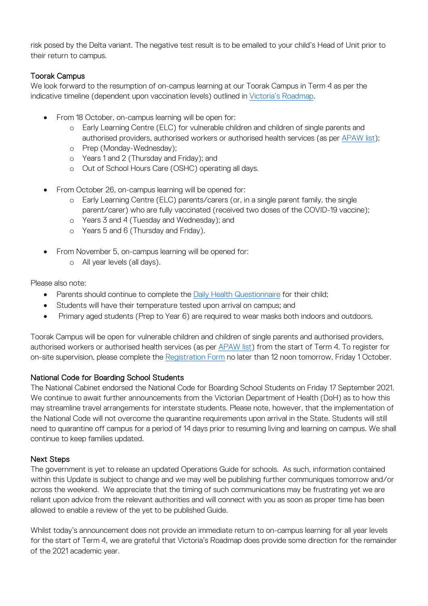risk posed by the Delta variant. The negative test result is to be emailed to your child's Head of Unit prior to their return to campus.

## Toorak Campus

We look forward to the resumption of on-campus learning at our Toorak Campus in Term 4 as per the indicative timeline (dependent upon vaccination levels) outlined in [Victoria's Roadmap.](https://www.coronavirus.vic.gov.au/victorias-roadmap)

- From 18 October, on-campus learning will be open for:
	- o Early Learning Centre (ELC) for vulnerable children and children of single parents and authorised providers, authorised workers or authorised health services (as per [APAW list\)](https://www.coronavirus.vic.gov.au/authorised-provider-and-authorised-worker-list);
	- o Prep (Monday-Wednesday);
	- o Years 1 and 2 (Thursday and Friday); and
	- o Out of School Hours Care (OSHC) operating all days.
- From October 26, on-campus learning will be opened for:
	- o Early Learning Centre (ELC) parents/carers (or, in a single parent family, the single parent/carer) who are fully vaccinated (received two doses of the COVID-19 vaccine);
	- o Years 3 and 4 (Tuesday and Wednesday); and
	- o Years 5 and 6 (Thursday and Friday).
- From November 5, on-campus learning will be opened for:
	- o All year levels (all days).

Please also note:

- Parents should continue to complete th[e Daily Health Questionnaire](https://forms.office.com/Pages/ResponsePage.aspx?id=ELu_KfmYBkWxD1P2rSx8Ev-kTHtY0BRDgodmf5vZO-ZUMlA3SjBJOTlGTENIQk5aVjlRMFdIMTZCQS4u&wdLOR=c6ADEBC50-953A-40B2-8789-919A85C6009F) for their child;
- Students will have their temperature tested upon arrival on campus; and
- Primary aged students (Prep to Year 6) are required to wear masks both indoors and outdoors.

Toorak Campus will be open for vulnerable children and children of single parents and authorised providers, authorised workers or authorised health services (as per [APAW list\)](https://www.coronavirus.vic.gov.au/authorised-provider-and-authorised-worker-list) from the start of Term 4. To register for on-site supervision, please complete the [Registration Form](https://www.ggs.vic.edu.au/school/our-school/leadership-and-governance/recent-statements/covid-19/supervision-of-remote-learning-ggs) no later than 12 noon tomorrow, Friday 1 October.

### National Code for Boarding School Students

The National Cabinet endorsed the National Code for Boarding School Students on Friday 17 September 2021. We continue to await further announcements from the Victorian Department of Health (DoH) as to how this may streamline travel arrangements for interstate students. Please note, however, that the implementation of the National Code will not overcome the quarantine requirements upon arrival in the State. Students will still need to quarantine off campus for a period of 14 days prior to resuming living and learning on campus. We shall continue to keep families updated.

# Next Steps

The government is yet to release an updated Operations Guide for schools. As such, information contained within this Update is subject to change and we may well be publishing further communiques tomorrow and/or across the weekend. We appreciate that the timing of such communications may be frustrating yet we are reliant upon advice from the relevant authorities and will connect with you as soon as proper time has been allowed to enable a review of the yet to be published Guide.

Whilst today's announcement does not provide an immediate return to on-campus learning for all year levels for the start of Term 4, we are grateful that Victoria's Roadmap does provide some direction for the remainder of the 2021 academic year.